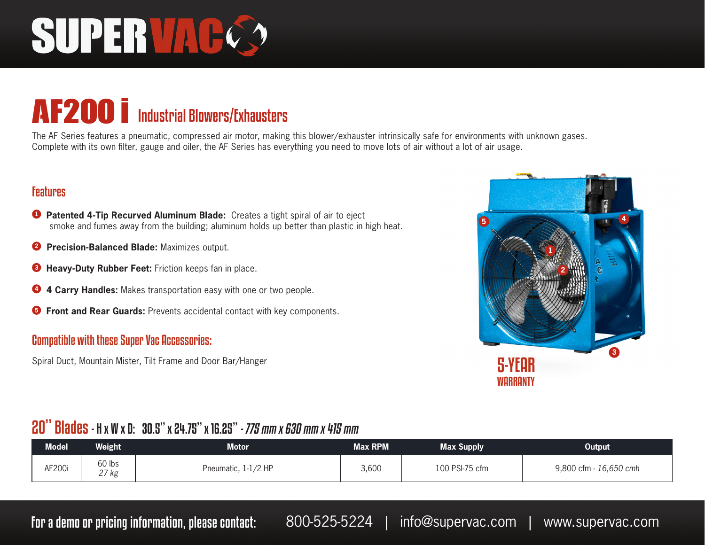# SUPERVAC.

### **AF200** i Industrial Blowers/Exhausters

The AF Series features a pneumatic, compressed air motor, making this blower/exhauster intrinsically safe for environments with unknown gases. Complete with its own filter, gauge and oiler, the AF Series has everything you need to move lots of air without a lot of air usage.

#### Features

- **<sup>1</sup> Patented 4-Tip Recurved Aluminum Blade:** Creates a tight spiral of air to eject smoke and fumes away from the building; aluminum holds up better than plastic in high heat.
- **2 Precision-Balanced Blade:** Maximizes output.
- **<sup>3</sup> Heavy-Duty Rubber Feet:** Friction keeps fan in place.
- **<sup>4</sup> 4 Carry Handles:** Makes transportation easy with one or two people.
- **<sup>5</sup> Front and Rear Guards:** Prevents accidental contact with key components.

#### Compatible with these Super Vac Accessories:

Spiral Duct, Mountain Mister, Tilt Frame and Door Bar/Hanger



#### 20" Blades - H x W x D: 30.5" x 24.75" x 16.25" - 775 mm x 630 mm x 415 mm

| <b>Model</b> | Weight                       | Motor               | <b>Max RPM</b> | Max Supply     | Output                 |
|--------------|------------------------------|---------------------|----------------|----------------|------------------------|
| AF200i       | $60$ lbs<br>$27~\mathrm{kg}$ | Pneumatic, 1-1/2 HP | 3,600          | 100 PSI-75 cfm | 9,800 cfm - 16,650 cmh |

For a demo or pricing information, please contact: 800-525-5224 | info@supervac.com | www.supervac.com